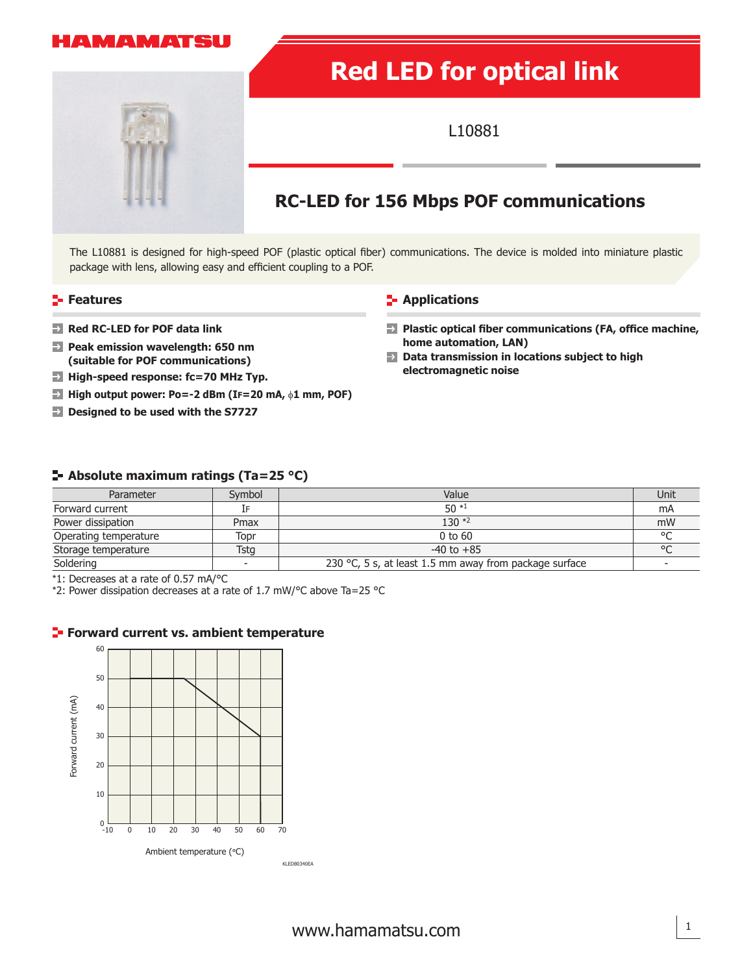## A MAMATSU



# **Red LED for optical link**

L10881

# **RC-LED for 156 Mbps POF communications**

The L10881 is designed for high-speed POF (plastic optical fiber) communications. The device is molded into miniature plastic package with lens, allowing easy and efficient coupling to a POF.

- **Features Constitutions Constitutions Constitutions**
- 
- **Peak emission wavelength: 650 nm (suitable for POF communications)**
- **High-speed response: fc=70 MHz Typ.**
- **High output power: Po=-2 dBm (IF=20 mA,** φ**1 mm, POF)**
- **Designed to be used with the S7727**

**Red RC-LED for POF data link Plastic optical fiber communications (FA, office machine, Plastic optical fiber communications (FA, office machine, home automation, LAN)**

 $\rightarrow$ **Data transmission in locations subject to high electromagnetic noise**

### **Absolute maximum ratings (Ta=25 °C)**

| Parameter             | Symbol                   | Value                                                  | Unit    |
|-----------------------|--------------------------|--------------------------------------------------------|---------|
| Forward current       | IF                       | $50*1$                                                 | mA      |
| Power dissipation     | Pmax                     | $130 *2$                                               | mW      |
| Operating temperature | Topr                     | $0$ to $60$                                            | $\circ$ |
| Storage temperature   | Tsta                     | $-40$ to $+85$                                         | $\circ$ |
| Soldering             | $\overline{\phantom{0}}$ | 230 °C, 5 s, at least 1.5 mm away from package surface |         |

\*1: Decreases at a rate of 0.57 mA/°C

\*2: Power dissipation decreases at a rate of 1.7 mW/°C above Ta=25 °C

### **Forward current vs. ambient temperature**

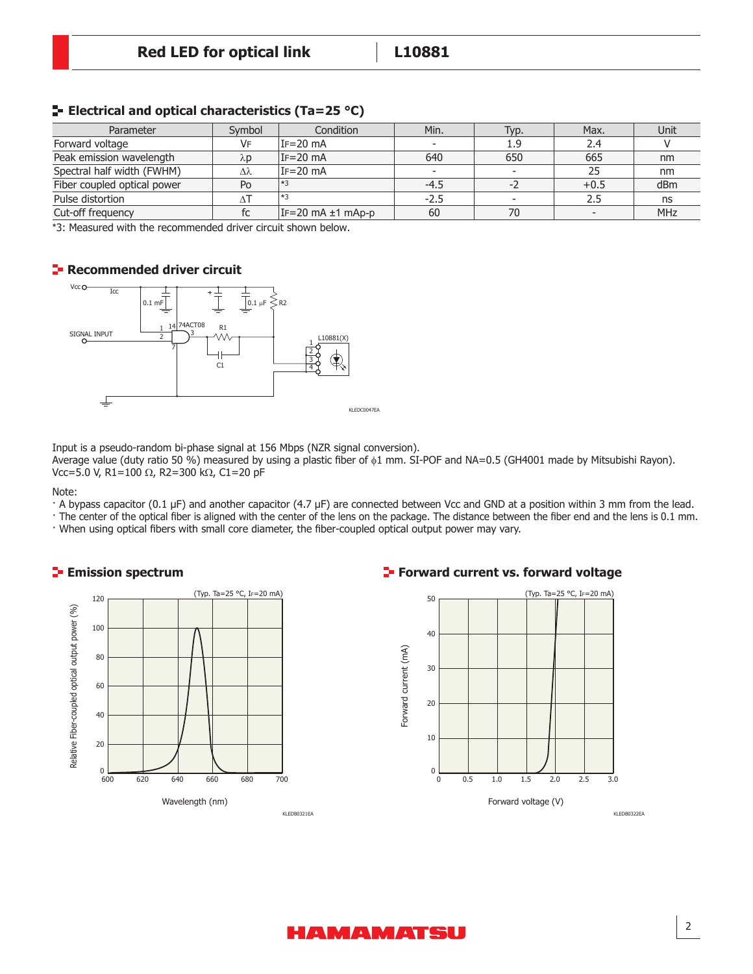| Parameter                   | Symbol    | Condition             | Min.   | Typ. | Max.                     | Unit       |
|-----------------------------|-----------|-----------------------|--------|------|--------------------------|------------|
| Forward voltage             | <b>VF</b> | IF=20 mA              |        | 1.9  | 2.4                      |            |
| Peak emission wavelength    | λp        | $IF = 20 mA$          | 640    | 650  | 665                      | nm         |
| Spectral half width (FWHM)  | Δλ        | $IF = 20 mA$          |        |      | 25                       | nm         |
| Fiber coupled optical power | Po        | $ *3$                 | $-4.5$ |      | $+0.5$                   | dBm        |
| Pulse distortion            |           | $1*3$                 | $-2.5$ |      | 2.5                      | ns         |
| Cut-off frequency           | fc        | $IF=20$ mA $±1$ mAp-p | 60     | 70   | $\overline{\phantom{0}}$ | <b>MHz</b> |

#### **E** Electrical and optical characteristics (Ta=25 °C)

\*3: Measured with the recommended driver circuit shown below.

### **Recommended driver circuit**



Input is a pseudo-random bi-phase signal at 156 Mbps (NZR signal conversion). Average value (duty ratio 50 %) measured by using a plastic fiber of  $\phi$ 1 mm. SI-POF and NA=0.5 (GH4001 made by Mitsubishi Rayon).

Vcc=5.0 V, R1=100 Ω, R2=300 kΩ, C1=20 pF

Note:

- · A bypass capacitor (0.1 μF) and another capacitor (4.7 μF) are connected between Vcc and GND at a position within 3 mm from the lead.
- · The center of the optical fiber is aligned with the center of the lens on the package. The distance between the fiber end and the lens is 0.1 mm.
- · When using optical fibers with small core diameter, the fiber-coupled optical output power may vary.



#### **Emission spectrum Forward current vs. forward voltage**